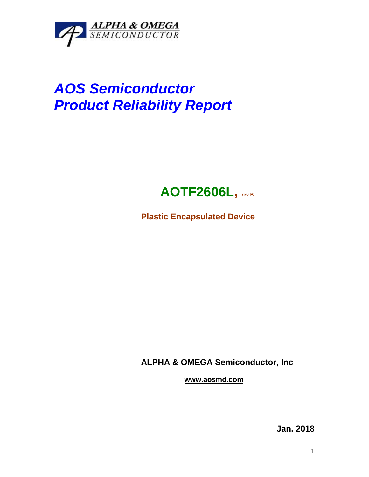

## *AOS Semiconductor Product Reliability Report*



**Plastic Encapsulated Device**

**ALPHA & OMEGA Semiconductor, Inc**

**www.aosmd.com**

**Jan. 2018**